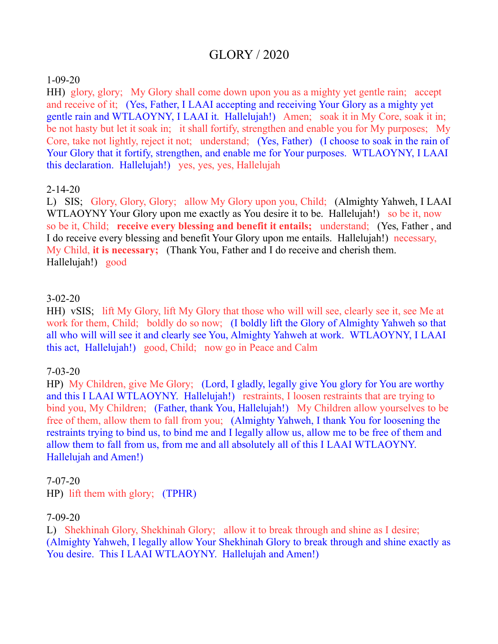# GLORY / 2020

#### 1-09-20

HH) glory, glory; My Glory shall come down upon you as a mighty yet gentle rain; accept and receive of it; (Yes, Father, I LAAI accepting and receiving Your Glory as a mighty yet gentle rain and WTLAOYNY, I LAAI it. Hallelujah!) Amen; soak it in My Core, soak it in; be not hasty but let it soak in; it shall fortify, strengthen and enable you for My purposes; My Core, take not lightly, reject it not; understand; (Yes, Father) (I choose to soak in the rain of Your Glory that it fortify, strengthen, and enable me for Your purposes. WTLAOYNY, I LAAI this declaration. Hallelujah!) yes, yes, yes, Hallelujah

#### 2-14-20

L) SIS; Glory, Glory, Glory; allow My Glory upon you, Child; (Almighty Yahweh, I LAAI WTLAOYNY Your Glory upon me exactly as You desire it to be. Hallelujah!) so be it, now so be it, Child; **receive every blessing and benefit it entails;** understand; (Yes, Father , and I do receive every blessing and benefit Your Glory upon me entails. Hallelujah!) necessary, My Child, **it is necessary;** (Thank You, Father and I do receive and cherish them. Hallelujah!) good

#### 3-02-20

HH) vSIS; lift My Glory, lift My Glory that those who will will see, clearly see it, see Me at work for them, Child; boldly do so now; (I boldly lift the Glory of Almighty Yahweh so that all who will will see it and clearly see You, Almighty Yahweh at work. WTLAOYNY, I LAAI this act, Hallelujah!) good, Child; now go in Peace and Calm

## 7-03-20

HP) My Children, give Me Glory; (Lord, I gladly, legally give You glory for You are worthy and this I LAAI WTLAOYNY. Hallelujah!) restraints, I loosen restraints that are trying to bind you, My Children; (Father, thank You, Hallelujah!) My Children allow yourselves to be free of them, allow them to fall from you; (Almighty Yahweh, I thank You for loosening the restraints trying to bind us, to bind me and I legally allow us, allow me to be free of them and allow them to fall from us, from me and all absolutely all of this I LAAI WTLAOYNY. Hallelujah and Amen!)

## 7-07-20

HP) lift them with glory; (TPHR)

## 7-09-20

L) Shekhinah Glory, Shekhinah Glory; allow it to break through and shine as I desire; (Almighty Yahweh, I legally allow Your Shekhinah Glory to break through and shine exactly as You desire. This I LAAI WTLAOYNY. Hallelujah and Amen!)